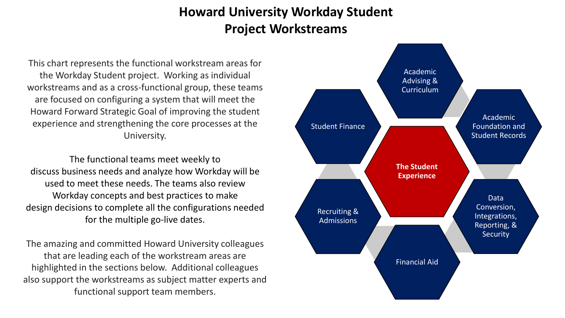# **Howard University Workday Student Project Workstreams**

This chart represents the functional workstream areas for the Workday Student project. Working as individual workstreams and as a cross-functional group, these teams are focused on configuring a system that will meet the Howard Forward Strategic Goal of improving the student experience and strengthening the core processes at the University.

The functional teams meet weekly to discuss business needs and analyze how Workday will be used to meet these needs. The teams also review Workday concepts and best practices to make design decisions to complete all the configurations needed for the multiple go-live dates.

The amazing and committed Howard University colleagues that are leading each of the workstream areas are highlighted in the sections below. Additional colleagues also support the workstreams as subject matter experts and functional support team members.

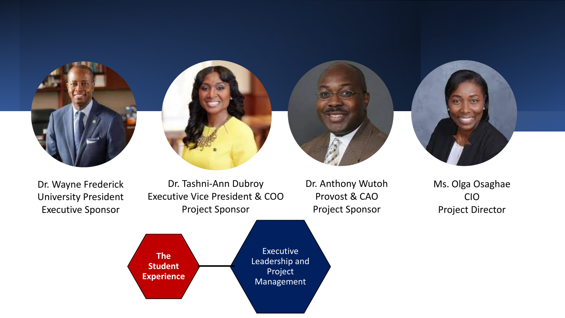







Dr. Wayne Frederick University President Executive Sponsor

Dr. Tashni-Ann Dubroy Executive Vice President & COO Project Sponsor

Dr. Anthony Wutoh Provost & CAO Project Sponsor

Ms. Olga Osaghae CIO Project Director

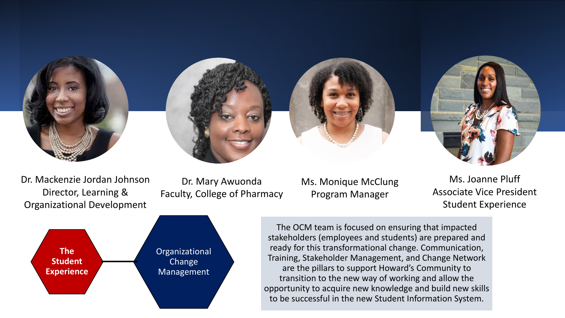

Dr. Mackenzie Jordan Johnson Director, Learning & Organizational Development

Dr. Mary Awuonda Faculty, College of Pharmacy



Ms. Joanne Pluff Associate Vice President Student Experience



The OCM team is focused on ensuring that impacted stakeholders (employees and students) are prepared and ready for this transformational change. Communication, Training, Stakeholder Management, and Change Network are the pillars to support Howard's Community to transition to the new way of working and allow the opportunity to acquire new knowledge and build new skills to be successful in the new Student Information System.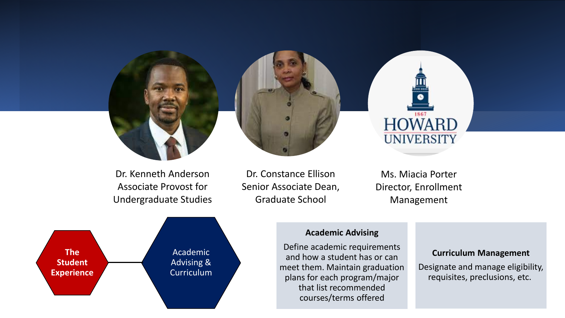



Dr. Kenneth Anderson Associate Provost for Undergraduate Studies

Dr. Constance Ellison Senior Associate Dean, Graduate School



Ms. Miacia Porter Director, Enrollment Management



### **Academic Advising**

Define academic requirements and how a student has or can meet them. Maintain graduation plans for each program/major that list recommended courses/terms offered

#### **Curriculum Management**

Designate and manage eligibility, requisites, preclusions, etc.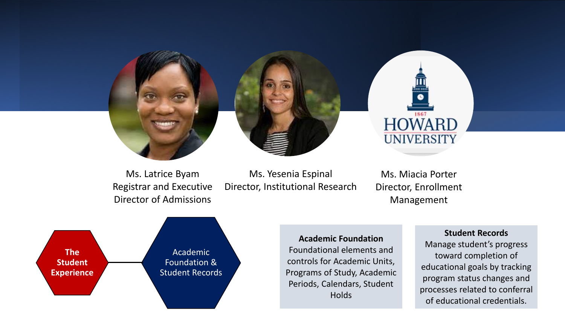

Ms. Latrice Byam Registrar and Executive Director of Admissions

Ms. Yesenia Espinal Director, Institutional Research

Ms. Miacia Porter Director, Enrollment Management



**Academic Foundation** Foundational elements and controls for Academic Units, Programs of Study, Academic Periods, Calendars, Student **Holds** 

#### **Student Records**

Manage student's progress toward completion of educational goals by tracking program status changes and processes related to conferral of educational credentials.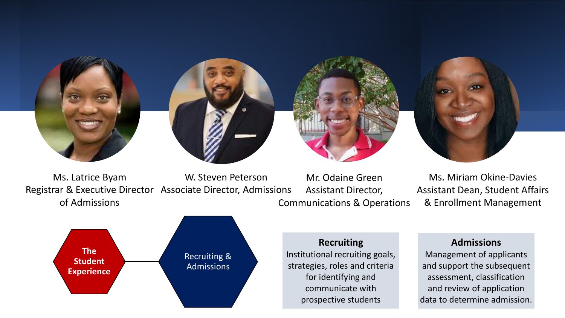

Ms. Latrice Byam Registrar & Executive Director Associate Director, Admissions of Admissions W. Steven Peterson

Mr. Odaine Green Assistant Director, Communications & Operations

Ms. Miriam Okine-Davies Assistant Dean, Student Affairs & Enrollment Management



## **Recruiting**

Institutional recruiting goals, strategies, roles and criteria for identifying and communicate with prospective students

# **Admissions**

Management of applicants and support the subsequent assessment, classification and review of application data to determine admission.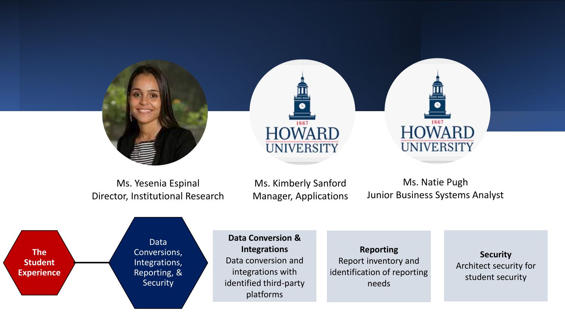

Ms. Yesenia Espinal Director, Institutional Research

Ms. Kimberly Sanford Manager, Applications

Ms. Natie Pugh Junior Business Systems Analyst



**Data Conversion & Integrations** Data conversion and integrations with identified third-party platforms

**Reporting** Report inventory and identification of reporting needs

**Security** Architect security for student security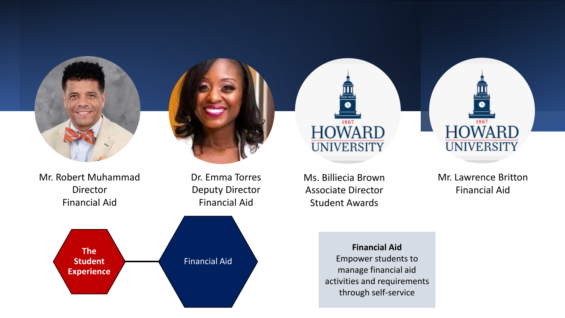

Mr. Robert Muhammad Director Financial Aid

Dr. Emma Torres Deputy Director Financial Aid



Ms. Billiecia Brown Associate Director Student Awards

1867

**HOWARD** 

**UNIVERSITY** 

Mr. Lawrence Britton Financial Aid

1867

**HOWARD** 

**UNIVERSITY** 

**Financial Aid** Empower students to manage financial aid activities and requirements through self-service